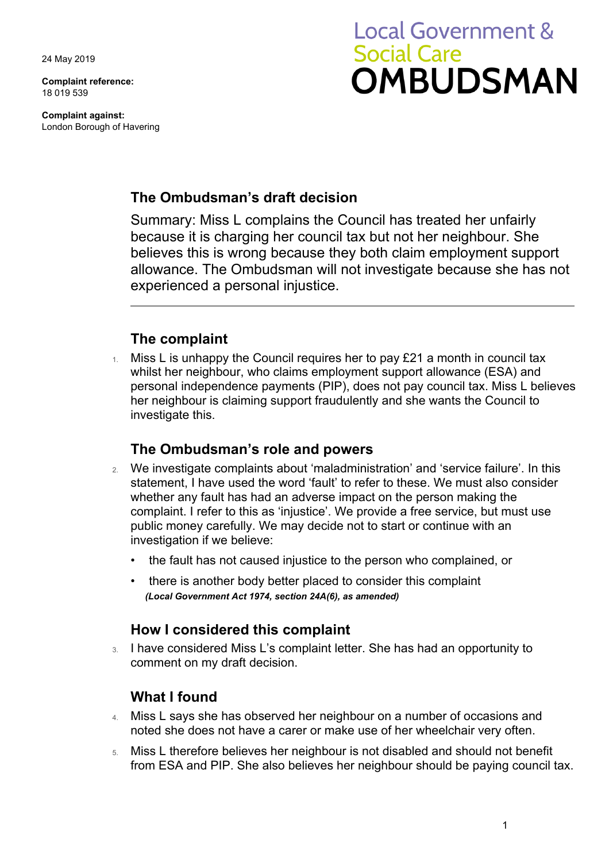24 May 2019

**Complaint reference:**  18 019 539

**Complaint against:**  London Borough of Havering

# **Local Government & Social Care OMBUDSMAN**

# **The Ombudsman's draft decision**

Summary: Miss L complains the Council has treated her unfairly because it is charging her council tax but not her neighbour. She believes this is wrong because they both claim employment support allowance. The Ombudsman will not investigate because she has not experienced a personal injustice.

### **The complaint**

 $1.$  Miss L is unhappy the Council requires her to pay £21 a month in council tax whilst her neighbour, who claims employment support allowance (ESA) and personal independence payments (PIP), does not pay council tax. Miss L believes her neighbour is claiming support fraudulently and she wants the Council to investigate this.

### **The Ombudsman's role and powers**

- 2. We investigate complaints about 'maladministration' and 'service failure'. In this statement, I have used the word 'fault' to refer to these. We must also consider whether any fault has had an adverse impact on the person making the complaint. I refer to this as 'injustice'. We provide a free service, but must use public money carefully. We may decide not to start or continue with an investigation if we believe:
	- the fault has not caused injustice to the person who complained, or
	- there is another body better placed to consider this complaint *(Local Government Act 1974, section 24A(6), as amended)*

### **How I considered this complaint**

3. I have considered Miss L's complaint letter. She has had an opportunity to comment on my draft decision.

# **What I found**

- 4. Miss L says she has observed her neighbour on a number of occasions and noted she does not have a carer or make use of her wheelchair very often.
- 5. Miss L therefore believes her neighbour is not disabled and should not benefit from ESA and PIP. She also believes her neighbour should be paying council tax.